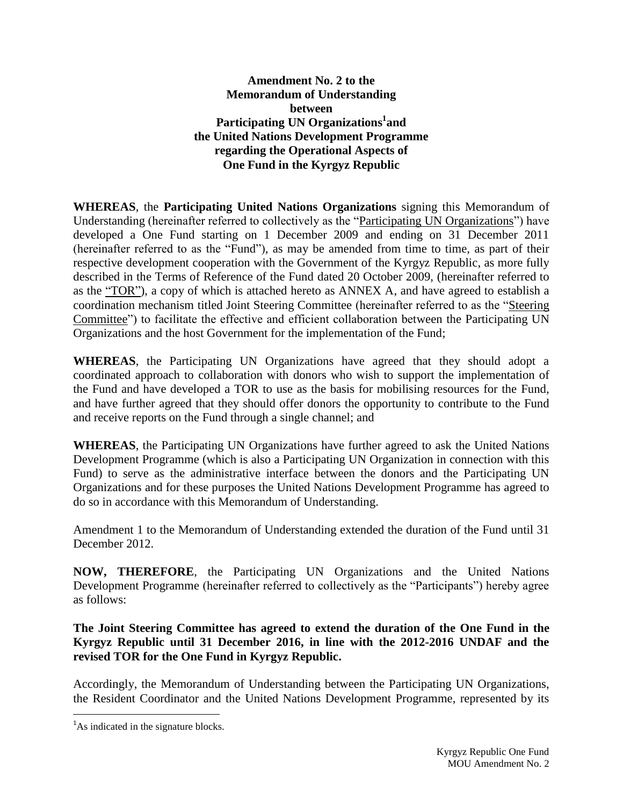## **Amendment No. 2 to the Memorandum of Understanding between Participating UN Organizations 1 and the United Nations Development Programme regarding the Operational Aspects of One Fund in the Kyrgyz Republic**

**WHEREAS**, the **Participating United Nations Organizations** signing this Memorandum of Understanding (hereinafter referred to collectively as the "Participating UN Organizations") have developed a One Fund starting on 1 December 2009 and ending on 31 December 2011 (hereinafter referred to as the "Fund"), as may be amended from time to time, as part of their respective development cooperation with the Government of the Kyrgyz Republic, as more fully described in the Terms of Reference of the Fund dated 20 October 2009, (hereinafter referred to as the "TOR"), a copy of which is attached hereto as ANNEX A, and have agreed to establish a coordination mechanism titled Joint Steering Committee (hereinafter referred to as the "Steering Committee") to facilitate the effective and efficient collaboration between the Participating UN Organizations and the host Government for the implementation of the Fund;

**WHEREAS**, the Participating UN Organizations have agreed that they should adopt a coordinated approach to collaboration with donors who wish to support the implementation of the Fund and have developed a TOR to use as the basis for mobilising resources for the Fund, and have further agreed that they should offer donors the opportunity to contribute to the Fund and receive reports on the Fund through a single channel; and

**WHEREAS**, the Participating UN Organizations have further agreed to ask the United Nations Development Programme (which is also a Participating UN Organization in connection with this Fund) to serve as the administrative interface between the donors and the Participating UN Organizations and for these purposes the United Nations Development Programme has agreed to do so in accordance with this Memorandum of Understanding.

Amendment 1 to the Memorandum of Understanding extended the duration of the Fund until 31 December 2012.

**NOW, THEREFORE**, the Participating UN Organizations and the United Nations Development Programme (hereinafter referred to collectively as the "Participants") hereby agree as follows:

**The Joint Steering Committee has agreed to extend the duration of the One Fund in the Kyrgyz Republic until 31 December 2016, in line with the 2012-2016 UNDAF and the revised TOR for the One Fund in Kyrgyz Republic.**

Accordingly, the Memorandum of Understanding between the Participating UN Organizations, the Resident Coordinator and the United Nations Development Programme, represented by its

 $\overline{a}$ 

<sup>&</sup>lt;sup>1</sup>As indicated in the signature blocks.